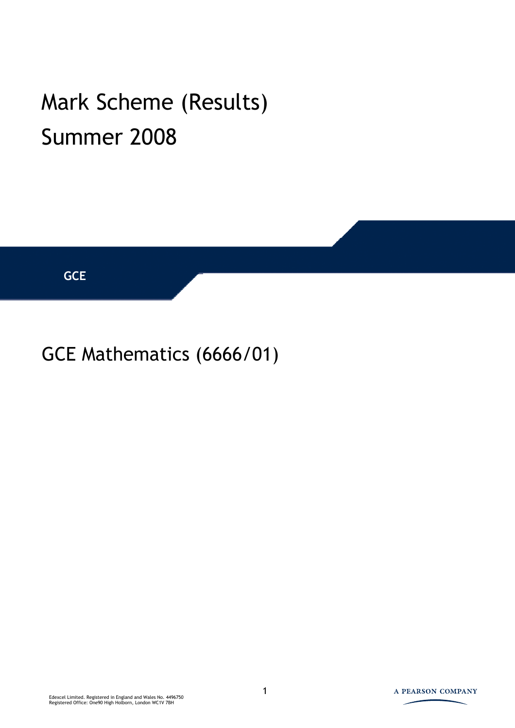## Mark Scheme (Results) Summer 2008



## GCE Mathematics (6666/01)

Edexcel Limited. Registered in England and Wales No. 4496750 Registered Office: One90 High Holborn, London WC1V 7BH

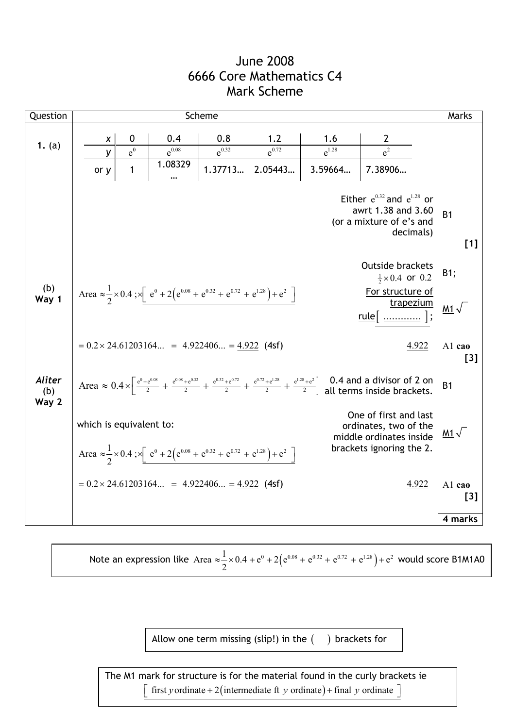## June 2008 6666 Core Mathematics C4 Mark Scheme

| Question               |                         |                      |                                                                                                                              | Scheme     |                                 |                       |                                                                                                                                                                                                                             | Marks                 |
|------------------------|-------------------------|----------------------|------------------------------------------------------------------------------------------------------------------------------|------------|---------------------------------|-----------------------|-----------------------------------------------------------------------------------------------------------------------------------------------------------------------------------------------------------------------------|-----------------------|
| 1. $(a)$               | $\boldsymbol{X}$        | 0                    | 0.4                                                                                                                          | 0.8        | 1.2                             | 1.6                   | $\overline{e^2}$                                                                                                                                                                                                            |                       |
|                        | У<br>or y               | $e^0$<br>$\mathbf 1$ | $e^{0.08}$<br>1.08329                                                                                                        | $e^{0.32}$ | $e^{0.72}$<br>1.37713   2.05443 | $e^{1.28}$<br>3.59664 | 7.38906                                                                                                                                                                                                                     |                       |
|                        |                         |                      |                                                                                                                              |            |                                 |                       | Either $e^{0.32}$ and $e^{1.28}$ or<br>awrt 1.38 and 3.60<br>(or a mixture of e's and<br>decimals)                                                                                                                          | B <sub>1</sub><br>[1] |
|                        |                         |                      |                                                                                                                              |            |                                 |                       | <b>Outside brackets</b><br>$\frac{1}{2} \times 0.4$ or 0.2                                                                                                                                                                  | B1;                   |
| (b)<br>Way 1           |                         |                      | Area $\approx \frac{1}{2} \times 0.4$ ; $\times \left[ e^{0} + 2(e^{0.08} + e^{0.32} + e^{0.72} + e^{1.28}) + e^{2} \right]$ |            |                                 |                       | For structure of<br>trapezium<br><u>rule</u> [  ];                                                                                                                                                                          | <u>M1</u> $\sqrt{ }$  |
|                        |                         |                      | $= 0.2 \times 24.61203164 = 4.922406 = 4.922$ (4sf)                                                                          |            |                                 |                       | 4.922                                                                                                                                                                                                                       | Al cao<br>$[3]$       |
| Aliter<br>(b)<br>Way 2 |                         |                      |                                                                                                                              |            |                                 |                       | Area $\approx 0.4 \times \left[ \frac{e^{0} + e^{0.08}}{2} + \frac{e^{0.08} + e^{0.32}}{2} + \frac{e^{0.32} + e^{0.72}}{2} + \frac{e^{0.72} + e^{1.28}}{2} + \frac{e^{1.28} + e^{2}}{2} \right]$ all terms inside brackets. | B <sub>1</sub>        |
|                        | which is equivalent to: |                      | Area $\approx \frac{1}{2} \times 0.4$ ; $\times \left[ e^{0} + 2(e^{0.08} + e^{0.32} + e^{0.72} + e^{1.28}) + e^{2} \right]$ |            |                                 |                       | One of first and last<br>ordinates, two of the<br>middle ordinates inside<br>brackets ignoring the 2.                                                                                                                       | <u>M1</u> $\sqrt{ }$  |
|                        |                         |                      | $= 0.2 \times 24.61203164 = 4.922406 = 4.922$ (4sf)                                                                          |            |                                 |                       | 4.922                                                                                                                                                                                                                       | Al cao<br>[3]         |
|                        |                         |                      |                                                                                                                              |            |                                 |                       |                                                                                                                                                                                                                             | 4 marks               |

Note an expression like Area  $\approx \frac{1}{2} \times 0.4 + e^{0} + 2(e^{0.08} + e^{0.32} + e^{0.72} + e^{1.28}) + e^{2}$  $\approx \frac{1}{2} \times 0.4 + e^{0} + 2(e^{0.08} + e^{0.32} + e^{0.72} + e^{1.28}) + e^{2}$  would score B1M1A0

Allow one term missing (slip!) in the  $($  ) brackets for

 $\left[$  first y ordinate + 2(intermediate ft y ordinate) + final y ordinate The M1 mark for structure is for the material found in the curly brackets ie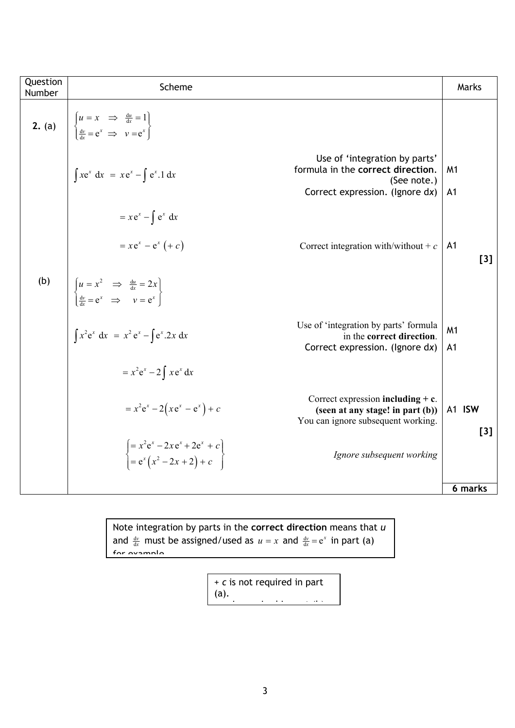| Question<br>Number | Scheme                                                                                                                                                         | Marks                            |
|--------------------|----------------------------------------------------------------------------------------------------------------------------------------------------------------|----------------------------------|
| 2. (a)             | $u = x \implies \frac{du}{dx} = 1$<br>$\frac{dv}{dx} = e^x \implies v = e^x$                                                                                   |                                  |
|                    | Use of 'integration by parts'<br>formula in the correct direction.<br>$\int xe^x dx = xe^x - \int e^x .1 dx$<br>(See note.)<br>Correct expression. (Ignore dx) | M <sub>1</sub><br>A <sub>1</sub> |
|                    | $= xe^{x} - \int e^{x} dx$                                                                                                                                     |                                  |
|                    | $= xe^{x} - e^{x} (+ c)$<br>Correct integration with/without + $c$                                                                                             | A <sub>1</sub><br>[3]            |
| (b)                | $\begin{cases} u = x^2 & \Rightarrow & \frac{du}{dx} = 2x \\ \frac{dv}{dx} = e^x & \Rightarrow & v = e^x \end{cases}$                                          |                                  |
|                    | Use of 'integration by parts' formula<br>$\int x^2 e^x dx = x^2 e^x - \int e^x . 2x dx$<br>in the correct direction.<br>Correct expression. (Ignore dx)        | M <sub>1</sub><br>A <sub>1</sub> |
|                    | $= x^2 e^x - 2 \int x e^x dx$                                                                                                                                  |                                  |
|                    | Correct expression including $+ c$ .<br>$= x^2 e^x - 2(x e^x - e^x) + c$<br>(seen at any stage! in part (b))<br>You can ignore subsequent working.             | A1 ISW<br>[3]                    |
|                    | $\begin{cases}\n= x^2 e^x - 2x e^x + 2e^x + c \\ = e^x (x^2 - 2x + 2) + c\n\end{cases}$<br>Ignore subsequent working                                           |                                  |
|                    |                                                                                                                                                                | 6 marks                          |

Note integration by parts in the **correct direction** means that *u* and  $\frac{dv}{dx}$  must be assigned/used as  $u = x$  and  $\frac{dv}{dx} = e^x$  in part (a) <u>for avample</u>

> + *c* is not required in part (a). i i de la contrada de la contrada de la contrada de la contrada de la contrada de la contrada de la contrada d<br>En la contrada de la contrada de la contrada de la contrada de la contrada de la contrada de la contrada de la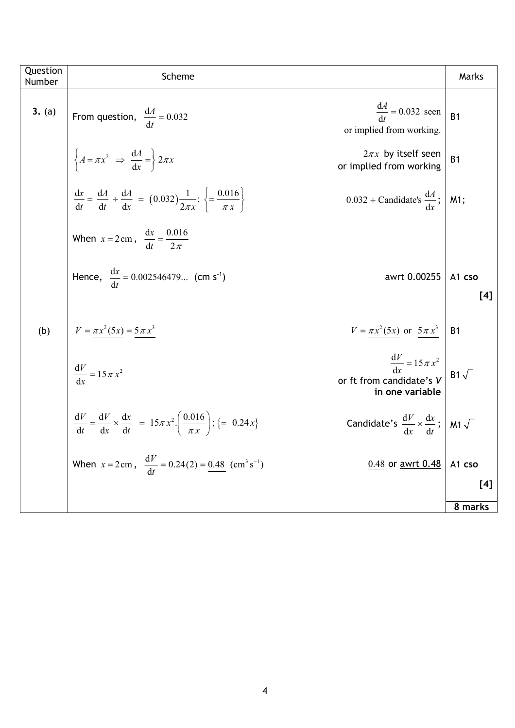| Question<br>Number | Scheme                                                                                                                                                                          | Marks          |
|--------------------|---------------------------------------------------------------------------------------------------------------------------------------------------------------------------------|----------------|
| 3. (a)             | $\frac{dA}{dt} = 0.032$ seen<br>From question, $\frac{dA}{dt} = 0.032$<br>or implied from working.                                                                              | B <sub>1</sub> |
|                    | $\left\{ A = \pi x^2 \implies \frac{dA}{dx} = \right\} 2\pi x$<br>$2\pi x$ by itself seen<br>or implied from working                                                            | B <sub>1</sub> |
|                    | $rac{dx}{dt} = \frac{dA}{dt} \div \frac{dA}{dx} = (0.032) \frac{1}{2\pi x}; \left\{ = \frac{0.016}{\pi x} \right\}$<br>$0.032 \div$ Candidate's $\frac{dA}{dx}$ ;               | M1;            |
|                    | When $x = 2 \text{ cm}$ , $\frac{dx}{dt} = \frac{0.016}{2 \pi}$                                                                                                                 |                |
|                    | Hence, $\frac{dx}{dt} = 0.002546479$ (cm s <sup>-1</sup> )<br>awrt 0.00255                                                                                                      | A1 cso<br>[4]  |
|                    |                                                                                                                                                                                 |                |
| (b)                | $V = \pi x^2 (5x) = 5 \pi x^3$<br>$V = \pi x^2 (5x)$ or $5 \pi x^3$                                                                                                             | B <sub>1</sub> |
|                    | $\frac{dV}{dx} = 15 \pi x^2$<br>$\frac{\mathrm{d}V}{\mathrm{d}x} = 15 \pi x^2$<br>or ft from candidate's V<br>in one variable                                                   | $B1\sqrt{}$    |
|                    | $rac{dV}{dt} = \frac{dV}{dx} \times \frac{dx}{dt} = 15\pi x^2 \left(\frac{0.016}{\pi x}\right);$ {= 0.24x}<br>Candidate's $\frac{dV}{dr} \times \frac{dx}{dt}$ ; M1 $\sqrt{\ }$ |                |
|                    | When $x = 2 \text{ cm}$ , $\frac{dV}{dt} = 0.24(2) = 0.48 \text{ (cm}^3 \text{ s}^{-1})$<br>$0.48$ or <u>awrt 0.48</u>                                                          | A1 cso         |
|                    |                                                                                                                                                                                 | [4]            |
|                    |                                                                                                                                                                                 | 8 marks        |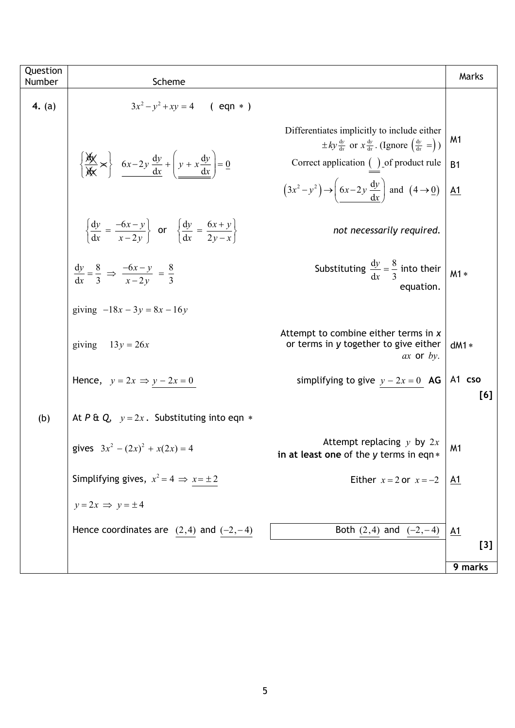| Question<br>Number | Scheme                                                                                                              |                                                                                                                                        | Marks            |
|--------------------|---------------------------------------------------------------------------------------------------------------------|----------------------------------------------------------------------------------------------------------------------------------------|------------------|
| 4. (a)             | $3x^2 - y^2 + xy = 4$ (eqn *)                                                                                       |                                                                                                                                        |                  |
|                    |                                                                                                                     | Differentiates implicitly to include either<br>$\pm ky \frac{dy}{dx}$ or $x \frac{dy}{dx}$ . (Ignore $\left(\frac{dy}{dx} = \right)$ ) | M1               |
|                    | $\left\{\frac{\cancel{x}}{\cancel{x}} \times \right\}$ 6x-2y $\frac{dy}{dx} + \left(y + x \frac{dy}{dx}\right) = 0$ | Correct application $( )$ of product rule                                                                                              | <b>B1</b>        |
|                    |                                                                                                                     | $(3x^2-y^2) \rightarrow \left(6x-2y \frac{dy}{dx}\right)$ and $(4 \rightarrow 0)$                                                      | $\underline{A1}$ |
|                    | $\left\{\frac{dy}{dx} = \frac{-6x - y}{x - 2y} \right\}$ or $\left\{\frac{dy}{dx} = \frac{6x + y}{2y - x}\right\}$  | not necessarily required.                                                                                                              |                  |
|                    | $\frac{dy}{dr} = \frac{8}{3} \implies \frac{-6x - y}{x - 2y} = \frac{8}{3}$                                         | Substituting $\frac{dy}{dr} = \frac{8}{3}$ into their<br>equation.                                                                     | $M1*$            |
|                    | giving $-18x - 3y = 8x - 16y$                                                                                       |                                                                                                                                        |                  |
|                    | giving<br>$13y = 26x$                                                                                               | Attempt to combine either terms in x<br>or terms in y together to give either<br>$ax$ or $by$ .                                        | $dM1*$           |
|                    | Hence, $y = 2x \implies y - 2x = 0$                                                                                 | simplifying to give $y - 2x = 0$ <b>AG</b>                                                                                             | A1 cso<br>[6]    |
| (b)                | At P & Q, $y = 2x$ . Substituting into eqn $*$                                                                      |                                                                                                                                        |                  |
|                    | gives $3x^2 - (2x)^2 + x(2x) = 4$                                                                                   | Attempt replacing $y$ by $2x$<br>in at least one of the y terms in eqn $*$                                                             | M <sub>1</sub>   |
|                    | Simplifying gives, $x^2 = 4 \implies x = \pm 2$                                                                     | Either $x = 2$ or $x = -2$                                                                                                             | <u>A1</u>        |
|                    | $y = 2x \implies y = \pm 4$                                                                                         |                                                                                                                                        |                  |
|                    | Hence coordinates are $(2,4)$ and $(-2,-4)$                                                                         | Both $(2,4)$ and $(-2,-4)$                                                                                                             | A1               |
|                    |                                                                                                                     |                                                                                                                                        | $[3]$            |
|                    |                                                                                                                     |                                                                                                                                        | 9 marks          |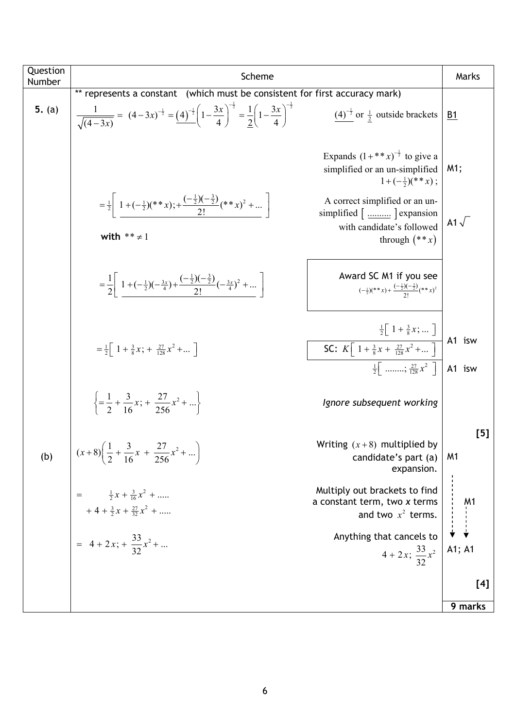| Question<br>Number | Scheme                                                                                                                                                                     |                                                                                                                                                       | Marks                                                       |
|--------------------|----------------------------------------------------------------------------------------------------------------------------------------------------------------------------|-------------------------------------------------------------------------------------------------------------------------------------------------------|-------------------------------------------------------------|
|                    | ** represents a constant (which must be consistent for first accuracy mark)                                                                                                |                                                                                                                                                       |                                                             |
| 5. $(a)$           | $\frac{1}{\sqrt{(4-3x)}} = (4-3x)^{-\frac{1}{2}} = (4)^{-\frac{1}{2}} \left(1-\frac{3x}{4}\right)^{-\frac{1}{2}} = \frac{1}{2} \left(1-\frac{3x}{4}\right)^{-\frac{1}{2}}$ | $(4)^{-\frac{1}{2}}$ or $\frac{1}{2}$ outside brackets                                                                                                | B1                                                          |
|                    |                                                                                                                                                                            | Expands $(1 + ** x)^{-\frac{1}{2}}$ to give a<br>simplified or an un-simplified<br>$1+(-\frac{1}{2})(**x)$ ;                                          | M1;                                                         |
|                    | $=\frac{1}{2}\left[1+(-\frac{1}{2})(**x)+\frac{(-\frac{1}{2})(-\frac{3}{2})}{2!}(**x)^2+\right]$<br>with $** \neq 1$                                                       | A correct simplified or an un-<br>simplified [] expansion<br>with candidate's followed<br>through $(**x)$                                             | A1 $\sqrt{ }$                                               |
|                    | $=\frac{1}{2}\left 1+(-\frac{1}{2})(-\frac{3x}{4})+\frac{(-\frac{1}{2})(-\frac{3}{2})}{2!}(-\frac{3x}{4})^2+\dots\right $                                                  | Award SC M1 if you see<br>$\left(-\frac{1}{2}\right)\left(**x\right)+\frac{\left(-\frac{1}{2}\right)\left(-\frac{3}{2}\right)}{2!}\left(**x\right)^2$ |                                                             |
|                    | $=\frac{1}{2}\left[1+\frac{3}{8}x;+\frac{27}{128}x^2+ \right]$                                                                                                             | $\frac{\frac{1}{2}\left[1+\frac{3}{8}x;  \right]}{$ SC: $K\left[1+\frac{3}{8}x+\frac{27}{128}x^2+ \right]}$<br>$\frac{1}{2}$ ; $\frac{27}{128}x^2$    | A1 isw<br>A1 isw                                            |
|                    | $\left\{=\frac{1}{2}+\frac{3}{16}x;+\frac{27}{256}x^2+\right\}$                                                                                                            | Ignore subsequent working                                                                                                                             |                                                             |
| (b)                | $(x+8)\left(\frac{1}{2}+\frac{3}{16}x+\frac{27}{256}x^2+\right)$                                                                                                           | Writing $(x+8)$ multiplied by<br>candidate's part (a)<br>expansion.                                                                                   | [5]<br>M <sub>1</sub>                                       |
|                    | $\frac{1}{2}x + \frac{3}{16}x^2 + \dots$<br>$+4+\frac{3}{2}x+\frac{27}{32}x^2+$                                                                                            | Multiply out brackets to find<br>a constant term, two x terms<br>and two $x^2$ terms.                                                                 | $\begin{array}{c}\nM1 \\ \vdots \\ \downarrow\n\end{array}$ |
|                    | = $4 + 2x$ ; $+ \frac{33}{32}x^2 + $                                                                                                                                       | Anything that cancels to<br>$4 + 2x$ ; $\frac{33}{32}x^2$                                                                                             | A1; A1                                                      |
|                    |                                                                                                                                                                            |                                                                                                                                                       | [4]                                                         |
|                    |                                                                                                                                                                            |                                                                                                                                                       | 9 marks                                                     |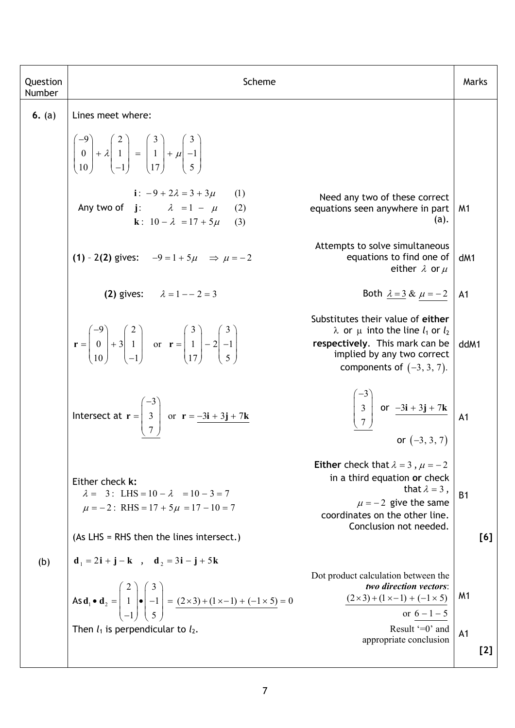| Question<br>Number | Scheme                                                                                                                                                                                                                                          |                                                                                                                                                                                              | Marks                   |
|--------------------|-------------------------------------------------------------------------------------------------------------------------------------------------------------------------------------------------------------------------------------------------|----------------------------------------------------------------------------------------------------------------------------------------------------------------------------------------------|-------------------------|
| 6. $(a)$           | Lines meet where:                                                                                                                                                                                                                               |                                                                                                                                                                                              |                         |
|                    | $\begin{pmatrix} -9 \\ 0 \\ 10 \end{pmatrix} + \lambda \begin{pmatrix} 2 \\ 1 \\ 1 \end{pmatrix} = \begin{pmatrix} 3 \\ 1 \\ 17 \end{pmatrix} + \mu \begin{pmatrix} 3 \\ -1 \\ 5 \end{pmatrix}$                                                 |                                                                                                                                                                                              |                         |
|                    | i: $-9 + 2\lambda = 3 + 3\mu$<br>(1)<br>Any two of $j: \qquad \lambda = 1 - \mu$<br>(2)<br><b>k</b> : $10 - \lambda = 17 + 5\mu$<br>(3)                                                                                                         | Need any two of these correct<br>equations seen anywhere in part<br>(a).                                                                                                                     | M1                      |
|                    | (1) - 2(2) gives: $-9 = 1 + 5\mu \implies \mu = -2$                                                                                                                                                                                             | Attempts to solve simultaneous<br>equations to find one of<br>either $\lambda$ or $\mu$                                                                                                      | dM1                     |
|                    | (2) gives: $\lambda = 1 - 2 = 3$                                                                                                                                                                                                                | Both $\lambda = 3 \& \mu = -2$                                                                                                                                                               | A1                      |
|                    | $\mathbf{r} = \begin{pmatrix} -9 \\ 0 \\ 10 \end{pmatrix} + 3 \begin{pmatrix} 2 \\ 1 \\ 1 \end{pmatrix}$ or $\mathbf{r} = \begin{pmatrix} 3 \\ 1 \\ 17 \end{pmatrix} - 2 \begin{pmatrix} 3 \\ -1 \\ 5 \end{pmatrix}$                            | Substitutes their value of either<br>$\lambda$ or $\mu$ into the line $l_1$ or $l_2$<br>respectively. This mark can be<br>implied by any two correct<br>components of $(-3, 3, 7)$ .         | ddM1                    |
|                    | Intersect at $\mathbf{r} = \begin{bmatrix} -3 \\ 3 \\ 7 \end{bmatrix}$ or $\mathbf{r} = \frac{-3\mathbf{i} + 3\mathbf{j} + 7\mathbf{k}}{2}$                                                                                                     | $\begin{bmatrix} -3 \\ 3 \\ 7 \end{bmatrix}$ or $\frac{-3i + 3j + 7k}{-3}$ A1<br>or $(-3, 3, 7)$                                                                                             |                         |
|                    | Either check k:<br>$\lambda = 3$ : LHS = 10 - $\lambda = 10 - 3 = 7$<br>$\mu = -2$ : RHS = 17 + 5 $\mu$ = 17 - 10 = 7                                                                                                                           | Either check that $\lambda = 3$ , $\mu = -2$<br>in a third equation or check<br>that $\lambda = 3$ ,<br>$\mu = -2$ give the same<br>coordinates on the other line.<br>Conclusion not needed. | B <sub>1</sub>          |
|                    | (As LHS = RHS then the lines intersect.)                                                                                                                                                                                                        |                                                                                                                                                                                              | [6]                     |
| (b)                | $d_1 = 2i + j - k$ , $d_2 = 3i - j + 5k$<br>As $\mathbf{d}_1 \bullet \mathbf{d}_2 = \begin{pmatrix} 2 \\ 1 \\ -1 \end{pmatrix} \bullet \begin{pmatrix} 3 \\ -1 \\ 5 \end{pmatrix} = \frac{(2 \times 3) + (1 \times -1) + (-1 \times 5)}{2} = 0$ | Dot product calculation between the<br>two direction vectors:<br>$(2 \times 3) + (1 \times -1) + (-1 \times 5)$<br>or $6 - 1 - 5$                                                            | M <sub>1</sub>          |
|                    | Then $l_1$ is perpendicular to $l_2$ .                                                                                                                                                                                                          | Result $=0$ and<br>appropriate conclusion                                                                                                                                                    | A <sub>1</sub><br>$[2]$ |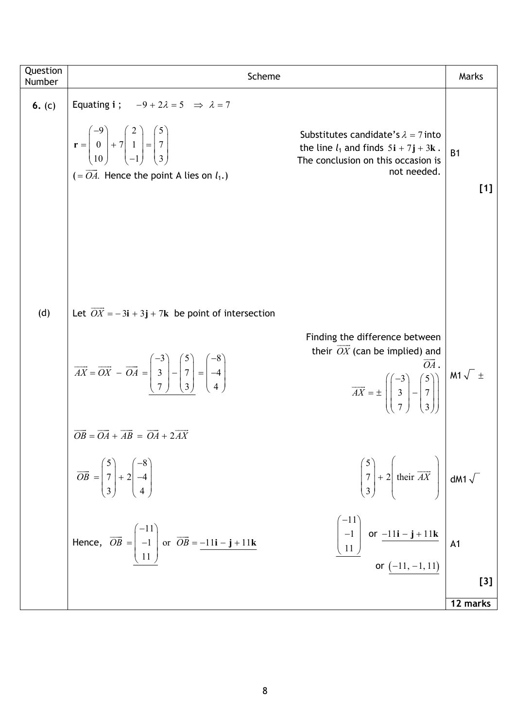| Question<br>Number | Scheme                                                                                                                                                                                                                                                                                                                                                                                                                                                                                                                                                                                                                                                                                                                                         | Marks                 |
|--------------------|------------------------------------------------------------------------------------------------------------------------------------------------------------------------------------------------------------------------------------------------------------------------------------------------------------------------------------------------------------------------------------------------------------------------------------------------------------------------------------------------------------------------------------------------------------------------------------------------------------------------------------------------------------------------------------------------------------------------------------------------|-----------------------|
| 6. $(c)$           | Equating i ; $-9 + 2\lambda = 5 \implies \lambda = 7$<br>$\mathbf{r} = \begin{pmatrix} -9 \\ 0 \\ 10 \end{pmatrix} + 7 \begin{pmatrix} 2 \\ 1 \\ -1 \end{pmatrix} = \begin{pmatrix} 5 \\ 7 \\ 3 \end{pmatrix}$<br>Substitutes candidate's $\lambda = 7$ into<br>the line $l_1$ and finds $5i + 7j + 3k$ .<br>The conclusion on this occasion is<br>not needed.<br>$(=\overrightarrow{OA}$ . Hence the point A lies on $l_1$ .)                                                                                                                                                                                                                                                                                                                 | B <sub>1</sub><br>[1] |
| (d)                | Let $\overrightarrow{OX} = -3i + 3j + 7k$ be point of intersection<br>Finding the difference between<br>their $\overline{OX}$ (can be implied) and<br>$\overrightarrow{AX} = \overrightarrow{OX} - \overrightarrow{OA} = \begin{pmatrix} -3 \\ 3 \\ 7 \\ 3 \end{pmatrix} - \begin{pmatrix} 5 \\ 7 \\ 3 \\ 4 \end{pmatrix} = \begin{pmatrix} -8 \\ -4 \\ 4 \\ 4 \end{pmatrix}$<br>$\overline{OA}$ .<br>$\overrightarrow{AX} = \pm \left( \begin{pmatrix} -3 \\ 3 \\ 7 \end{pmatrix} - \begin{pmatrix} 5 \\ 7 \\ 2 \end{pmatrix} \right) \left. \begin{pmatrix} \mathsf{M1} \sqrt{-1} \pm \mathsf{M1} \sqrt{-1} \end{pmatrix}$<br>$\overrightarrow{OB} = \overrightarrow{OA} + \overrightarrow{AB} = \overrightarrow{OA} + 2\overrightarrow{AX}$ |                       |
|                    | $\begin{pmatrix} 5 \\ 7 \\ 3 \end{pmatrix} + 2 \left( \text{their } \overrightarrow{AX} \right) \text{ dM1 } \sqrt{\ }$<br>$\overrightarrow{OB} = \begin{pmatrix} 5 \\ 7 \\ 3 \end{pmatrix} + 2 \begin{pmatrix} -8 \\ -4 \\ 4 \end{pmatrix}$                                                                                                                                                                                                                                                                                                                                                                                                                                                                                                   |                       |
|                    | $\begin{bmatrix} -11 \\ -1 \\ 11 \end{bmatrix}$ or $\frac{-11i - j + 11k}{$ or $\frac{(-11, -1, 11)}{2}$ A1<br>Hence, $\overrightarrow{OB} = \begin{pmatrix} -11 \\ -1 \\ 11 \end{pmatrix}$ or $\overrightarrow{OB} = \frac{-11\mathbf{i} - \mathbf{j} + 11\mathbf{k}}{11}$                                                                                                                                                                                                                                                                                                                                                                                                                                                                    | $[3]$                 |
|                    |                                                                                                                                                                                                                                                                                                                                                                                                                                                                                                                                                                                                                                                                                                                                                | 12 marks              |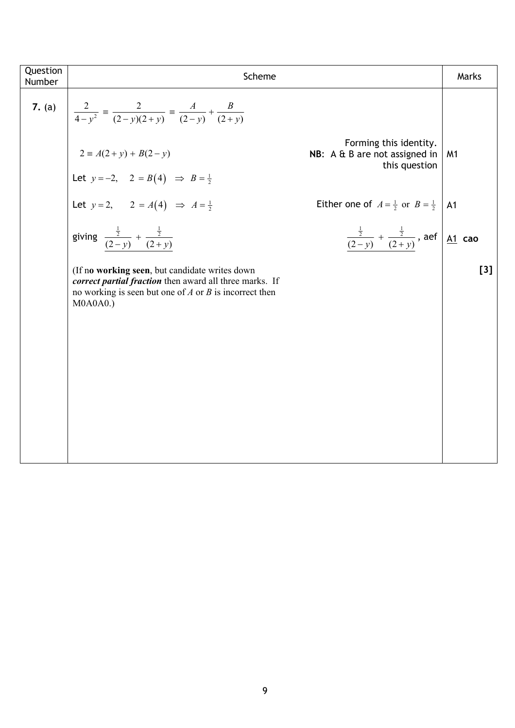| Question<br>Number | Scheme                                                                                                                                                                                 |                                                                                    | Marks          |
|--------------------|----------------------------------------------------------------------------------------------------------------------------------------------------------------------------------------|------------------------------------------------------------------------------------|----------------|
|                    | 7. (a) $\left  \frac{2}{4-y^2} \right  \equiv \frac{2}{(2-y)(2+y)} \equiv \frac{A}{(2-y)} + \frac{B}{(2+y)}$                                                                           |                                                                                    |                |
|                    | $2 \equiv A(2+y) + B(2-y)$                                                                                                                                                             | Forming this identity.<br>NB: A & B are not assigned in<br>this question           | M <sub>1</sub> |
|                    | Let $y = -2$ , $2 = B(4) \Rightarrow B = \frac{1}{2}$                                                                                                                                  |                                                                                    |                |
|                    | Let $y = 2$ , $2 = A(4) \implies A = \frac{1}{2}$                                                                                                                                      | Either one of $A = \frac{1}{2}$ or $B = \frac{1}{2}$                               | A <sub>1</sub> |
|                    | giving $\frac{\frac{1}{2}}{(2-y)} + \frac{\frac{1}{2}}{(2+y)}$                                                                                                                         | $\frac{\frac{1}{2}}{(2-y)} + \frac{\frac{1}{2}}{(2+y)}$ , aef $\underline{A1}$ cao |                |
|                    | (If no working seen, but candidate writes down<br>correct partial fraction then award all three marks. If<br>no working is seen but one of $A$ or $B$ is incorrect then<br>$MOAOAO$ .) |                                                                                    | [3]            |
|                    |                                                                                                                                                                                        |                                                                                    |                |
|                    |                                                                                                                                                                                        |                                                                                    |                |
|                    |                                                                                                                                                                                        |                                                                                    |                |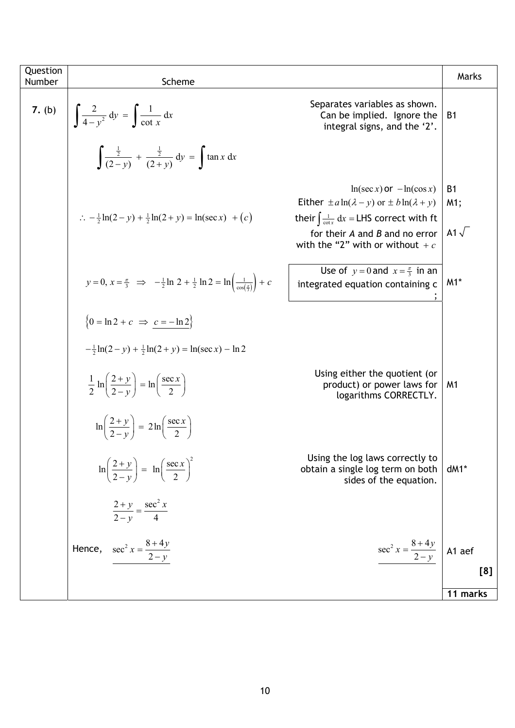| Question<br>Number | Scheme                                                                                                                            |                                                                                                                                                                                               | Marks                             |
|--------------------|-----------------------------------------------------------------------------------------------------------------------------------|-----------------------------------------------------------------------------------------------------------------------------------------------------------------------------------------------|-----------------------------------|
| 7. (b)             | $\int \frac{2}{4-y^2} dy = \int \frac{1}{\cot x} dx$                                                                              | Separates variables as shown.<br>Can be implied. Ignore the<br>integral signs, and the '2'.                                                                                                   | <b>B1</b>                         |
|                    | $\int \frac{\frac{1}{2}}{(2-v)} + \frac{\frac{1}{2}}{(2+v)} dv = \int \tan x dx$                                                  |                                                                                                                                                                                               |                                   |
|                    | $\therefore$ $-\frac{1}{2} \ln(2-y) + \frac{1}{2} \ln(2+y) = \ln(\sec x) + (c)$                                                   | $ln(\sec x)$ or $-\ln(\cos x)$<br>Either $\pm a \ln(\lambda - y)$ or $\pm b \ln(\lambda + y)$<br>their $\int \frac{1}{\cot x} dx = LHS$ correct with ft<br>for their $A$ and $B$ and no error | <b>B1</b><br>M1;<br>A1 $\sqrt{ }$ |
|                    | $y = 0, x = \frac{\pi}{3} \implies -\frac{1}{2} \ln 2 + \frac{1}{2} \ln 2 = \ln \left( \frac{1}{\cos(\frac{\pi}{2})} \right) + c$ | with the "2" with or without $+c$<br>Use of $y = 0$ and $x = \frac{\pi}{3}$ in an<br>integrated equation containing c                                                                         | $M1*$                             |
|                    | $\left\{0 = \ln 2 + c \implies c = -\ln 2\right\}$                                                                                |                                                                                                                                                                                               |                                   |
|                    | $-\frac{1}{2} \ln(2-y) + \frac{1}{2} \ln(2+y) = \ln(\sec x) - \ln 2$                                                              |                                                                                                                                                                                               |                                   |
|                    | $\frac{1}{2} \ln \left( \frac{2+y}{2-y} \right) = \ln \left( \frac{\sec x}{2} \right)$                                            | Using either the quotient (or<br>product) or power laws for<br>logarithms CORRECTLY.                                                                                                          | M1                                |
|                    | $\ln\left(\frac{2+y}{2-y}\right) = 2\ln\left(\frac{\sec x}{2}\right)$                                                             |                                                                                                                                                                                               |                                   |
|                    | $\ln\left(\frac{2+y}{2-y}\right) = \ln\left(\frac{\sec x}{2}\right)^2$                                                            | Using the log laws correctly to<br>obtain a single log term on both<br>sides of the equation.                                                                                                 | $dM1*$                            |
|                    | $\frac{2+y}{2-y} = \frac{\sec^2 x}{4}$                                                                                            |                                                                                                                                                                                               |                                   |
|                    | Hence, $\sec^2 x = \frac{8+4y}{2-y}$                                                                                              | $sec2 x = \frac{8+4y}{2-y}$ A1 aef                                                                                                                                                            |                                   |
|                    |                                                                                                                                   |                                                                                                                                                                                               | [8]                               |
|                    |                                                                                                                                   |                                                                                                                                                                                               | 11 marks                          |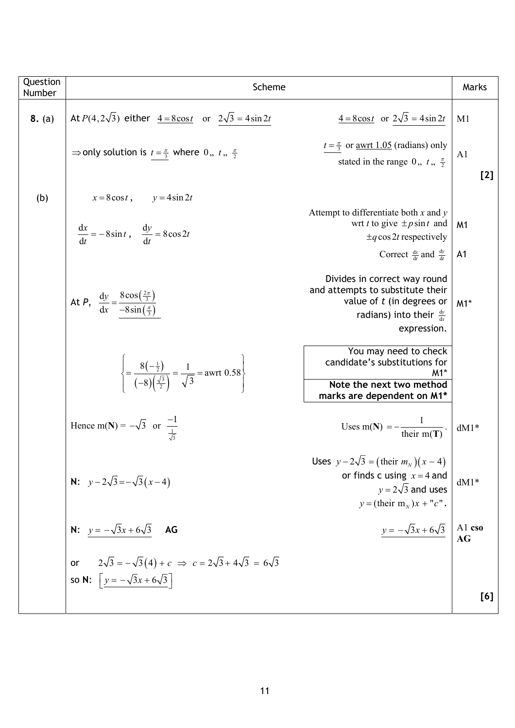| Question<br>Number | Scheme                                                                                                                                          |                                                                                                                                                              | Marks                            |
|--------------------|-------------------------------------------------------------------------------------------------------------------------------------------------|--------------------------------------------------------------------------------------------------------------------------------------------------------------|----------------------------------|
|                    |                                                                                                                                                 |                                                                                                                                                              |                                  |
| 8. (a)             | At $P(4, 2\sqrt{3})$ either $4 = 8\cos t$ or $2\sqrt{3} = 4\sin 2t$                                                                             | $\frac{4 - 8\cos t}{t}$ or $2\sqrt{3} = 4\sin 2t$                                                                                                            | M1                               |
|                    | $\Rightarrow$ only solution is $t = \frac{\pi}{3}$ where 0,, $t_1$ , $\frac{\pi}{2}$                                                            | $t = \frac{\pi}{3}$ or <u>awrt 1.05</u> (radians) only<br>stated in the range 0,, $t_1$ , $\frac{\pi}{2}$                                                    | A <sub>1</sub><br>$[2]$          |
| (b)                | $x = 8\cos t$ , $y = 4\sin 2t$                                                                                                                  |                                                                                                                                                              |                                  |
|                    | $\frac{dx}{dt} = -8\sin t, \quad \frac{dy}{dt} = 8\cos 2t$                                                                                      | Attempt to differentiate both $x$ and $y$<br>wrt t to give $\pm p \sin t$ and<br>$\pm q \cos 2t$ respectively<br>Correct $\frac{dx}{dt}$ and $\frac{dy}{dt}$ | M <sub>1</sub><br>A <sub>1</sub> |
|                    | At <i>P</i> , $\frac{dy}{dx} = \frac{8\cos(\frac{2\pi}{3})}{-8\sin(\frac{\pi}{3})}$                                                             | Divides in correct way round<br>and attempts to substitute their<br>value of $t$ (in degrees or<br>radians) into their $\frac{dy}{dx}$<br>expression.        | $M1*$                            |
|                    | $\left\{\frac{8(-\frac{1}{2})}{(-8)(\frac{\sqrt{3}}{2})}=\frac{1}{\sqrt{3}}=\text{awrt }0.58\right\}$                                           | You may need to check<br>candidate's substitutions for<br>M1*<br>Note the next two method<br>marks are dependent on M1*                                      |                                  |
|                    | Hence m(N) = $-\sqrt{3}$ or $\frac{-1}{\sqrt{3}}$                                                                                               | Uses m(N) = $-\frac{1}{\text{their m(T)}}$ .                                                                                                                 | $dM1*$                           |
|                    | <b>N:</b> $y-2\sqrt{3}=-\sqrt{3}(x-4)$                                                                                                          | Uses $y - 2\sqrt{3} = (\text{their } m_N)(x - 4)$<br>or finds c using $x = 4$ and<br>$y = 2\sqrt{3}$ and uses<br>$y = ($ their m <sub>N</sub> $)x + "c"$ .   | $dM1*$                           |
|                    | <b>N:</b> $y = -\sqrt{3}x + 6\sqrt{3}$ <b>AG</b>                                                                                                | $y = -\sqrt{3}x + 6\sqrt{3}$                                                                                                                                 | A1 cso<br>AG                     |
|                    | $2\sqrt{3} = -\sqrt{3}(4) + c \implies c = 2\sqrt{3} + 4\sqrt{3} = 6\sqrt{3}$<br><b>or</b><br>so N: $\left[ y = -\sqrt{3}x + 6\sqrt{3} \right]$ |                                                                                                                                                              | [6]                              |